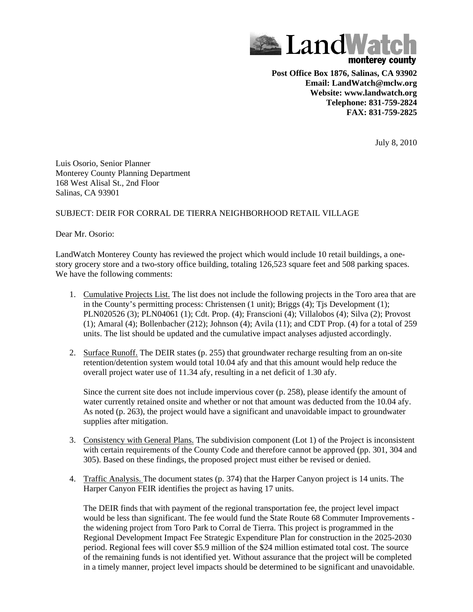

**Post Office Box 1876, Salinas, CA 93902 Email: LandWatch@mclw.org Website: www.landwatch.org Telephone: 831-759-2824 FAX: 831-759-2825**

July 8, 2010

Luis Osorio, Senior Planner Monterey County Planning Department 168 West Alisal St., 2nd Floor Salinas, CA 93901

## SUBJECT: DEIR FOR CORRAL DE TIERRA NEIGHBORHOOD RETAIL VILLAGE

Dear Mr. Osorio:

LandWatch Monterey County has reviewed the project which would include 10 retail buildings, a onestory grocery store and a two-story office building, totaling 126,523 square feet and 508 parking spaces. We have the following comments:

- 1. Cumulative Projects List. The list does not include the following projects in the Toro area that are in the County's permitting process: Christensen (1 unit); Briggs (4); Tjs Development (1); PLN020526 (3); PLN04061 (1); Cdt. Prop. (4); Franscioni (4); Villalobos (4); Silva (2); Provost (1); Amaral (4); Bollenbacher (212); Johnson (4); Avila (11); and CDT Prop. (4) for a total of 259 units. The list should be updated and the cumulative impact analyses adjusted accordingly.
- 2. Surface Runoff. The DEIR states (p. 255) that groundwater recharge resulting from an on-site retention/detention system would total 10.04 afy and that this amount would help reduce the overall project water use of 11.34 afy, resulting in a net deficit of 1.30 afy.

Since the current site does not include impervious cover (p. 258), please identify the amount of water currently retained onsite and whether or not that amount was deducted from the 10.04 afy. As noted (p. 263), the project would have a significant and unavoidable impact to groundwater supplies after mitigation.

- 3. Consistency with General Plans. The subdivision component (Lot 1) of the Project is inconsistent with certain requirements of the County Code and therefore cannot be approved (pp. 301, 304 and 305). Based on these findings, the proposed project must either be revised or denied.
- 4. Traffic Analysis. The document states (p. 374) that the Harper Canyon project is 14 units. The Harper Canyon FEIR identifies the project as having 17 units.

The DEIR finds that with payment of the regional transportation fee, the project level impact would be less than significant. The fee would fund the State Route 68 Commuter Improvements the widening project from Toro Park to Corral de Tierra. This project is programmed in the Regional Development Impact Fee Strategic Expenditure Plan for construction in the 2025-2030 period. Regional fees will cover \$5.9 million of the \$24 million estimated total cost. The source of the remaining funds is not identified yet. Without assurance that the project will be completed in a timely manner, project level impacts should be determined to be significant and unavoidable.